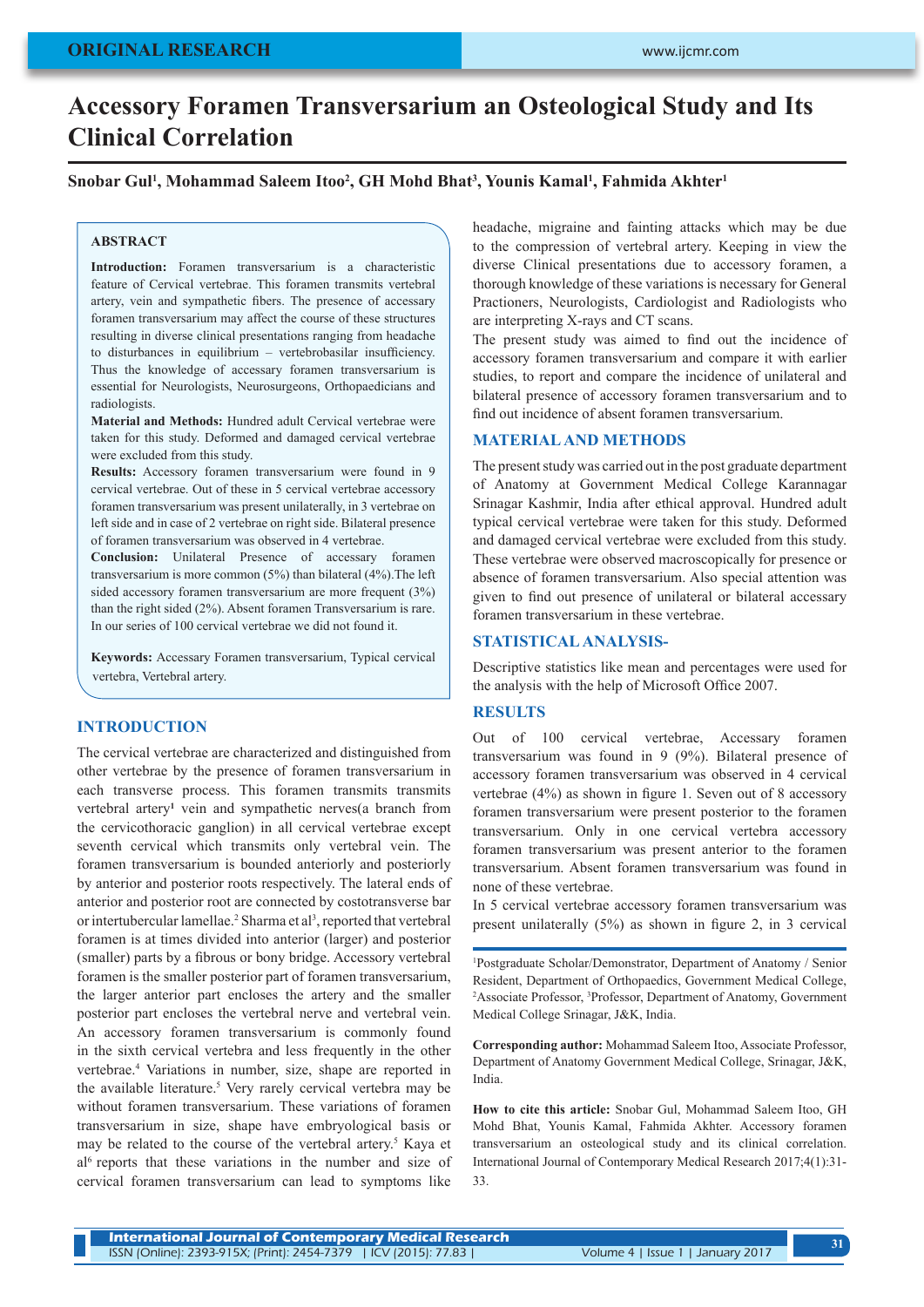# **Accessory Foramen Transversarium an Osteological Study and Its Clinical Correlation**

## **Snobar Gul1 , Mohammad Saleem Itoo2 , GH Mohd Bhat3 , Younis Kamal1 , Fahmida Akhter1**

### **ABSTRACT**

**Introduction:** Foramen transversarium is a characteristic feature of Cervical vertebrae. This foramen transmits vertebral artery, vein and sympathetic fibers. The presence of accessary foramen transversarium may affect the course of these structures resulting in diverse clinical presentations ranging from headache to disturbances in equilibrium – vertebrobasilar insufficiency. Thus the knowledge of accessary foramen transversarium is essential for Neurologists, Neurosurgeons, Orthopaedicians and radiologists.

**Material and Methods:** Hundred adult Cervical vertebrae were taken for this study. Deformed and damaged cervical vertebrae were excluded from this study.

**Results:** Accessory foramen transversarium were found in 9 cervical vertebrae. Out of these in 5 cervical vertebrae accessory foramen transversarium was present unilaterally, in 3 vertebrae on left side and in case of 2 vertebrae on right side. Bilateral presence of foramen transversarium was observed in 4 vertebrae.

**Conclusion:** Unilateral Presence of accessary foramen transversarium is more common (5%) than bilateral (4%).The left sided accessory foramen transversarium are more frequent (3%) than the right sided (2%). Absent foramen Transversarium is rare. In our series of 100 cervical vertebrae we did not found it.

**Keywords:** Accessary Foramen transversarium, Typical cervical vertebra, Vertebral artery.

#### **INTRODUCTION**

The cervical vertebrae are characterized and distinguished from other vertebrae by the presence of foramen transversarium in each transverse process. This foramen transmits transmits vertebral artery**<sup>1</sup>** vein and sympathetic nerves(a branch from the cervicothoracic ganglion) in all cervical vertebrae except seventh cervical which transmits only vertebral vein. The foramen transversarium is bounded anteriorly and posteriorly by anterior and posterior roots respectively. The lateral ends of anterior and posterior root are connected by costotransverse bar or intertubercular lamellae.<sup>2</sup> Sharma et al<sup>3</sup>, reported that vertebral foramen is at times divided into anterior (larger) and posterior (smaller) parts by a fibrous or bony bridge. Accessory vertebral foramen is the smaller posterior part of foramen transversarium, the larger anterior part encloses the artery and the smaller posterior part encloses the vertebral nerve and vertebral vein. An accessory foramen transversarium is commonly found in the sixth cervical vertebra and less frequently in the other vertebrae.4 Variations in number, size, shape are reported in the available literature.<sup>5</sup> Very rarely cervical vertebra may be without foramen transversarium. These variations of foramen transversarium in size, shape have embryological basis or may be related to the course of the vertebral artery.<sup>5</sup> Kaya et al6 reports that these variations in the number and size of cervical foramen transversarium can lead to symptoms like

headache, migraine and fainting attacks which may be due to the compression of vertebral artery. Keeping in view the diverse Clinical presentations due to accessory foramen, a thorough knowledge of these variations is necessary for General Practioners, Neurologists, Cardiologist and Radiologists who are interpreting X-rays and CT scans.

The present study was aimed to find out the incidence of accessory foramen transversarium and compare it with earlier studies, to report and compare the incidence of unilateral and bilateral presence of accessory foramen transversarium and to find out incidence of absent foramen transversarium.

### **MATERIAL AND METHODS**

The present study was carried out in the post graduate department of Anatomy at Government Medical College Karannagar Srinagar Kashmir, India after ethical approval. Hundred adult typical cervical vertebrae were taken for this study. Deformed and damaged cervical vertebrae were excluded from this study. These vertebrae were observed macroscopically for presence or absence of foramen transversarium. Also special attention was given to find out presence of unilateral or bilateral accessary foramen transversarium in these vertebrae.

#### **STATISTICAL ANALYSIS-**

Descriptive statistics like mean and percentages were used for the analysis with the help of Microsoft Office 2007.

# **RESULTS**

Out of 100 cervical vertebrae, Accessary foramen transversarium was found in 9 (9%). Bilateral presence of accessory foramen transversarium was observed in 4 cervical vertebrae (4%) as shown in figure 1. Seven out of 8 accessory foramen transversarium were present posterior to the foramen transversarium. Only in one cervical vertebra accessory foramen transversarium was present anterior to the foramen transversarium. Absent foramen transversarium was found in none of these vertebrae.

In 5 cervical vertebrae accessory foramen transversarium was present unilaterally (5%) as shown in figure 2, in 3 cervical

1 Postgraduate Scholar/Demonstrator, Department of Anatomy / Senior Resident, Department of Orthopaedics, Government Medical College, 2 Associate Professor, 3 Professor, Department of Anatomy, Government Medical College Srinagar, J&K, India.

**Corresponding author:** Mohammad Saleem Itoo, Associate Professor, Department of Anatomy Government Medical College, Srinagar, J&K, India.

**How to cite this article:** Snobar Gul, Mohammad Saleem Itoo, GH Mohd Bhat, Younis Kamal, Fahmida Akhter. Accessory foramen transversarium an osteological study and its clinical correlation. International Journal of Contemporary Medical Research 2017;4(1):31- 33.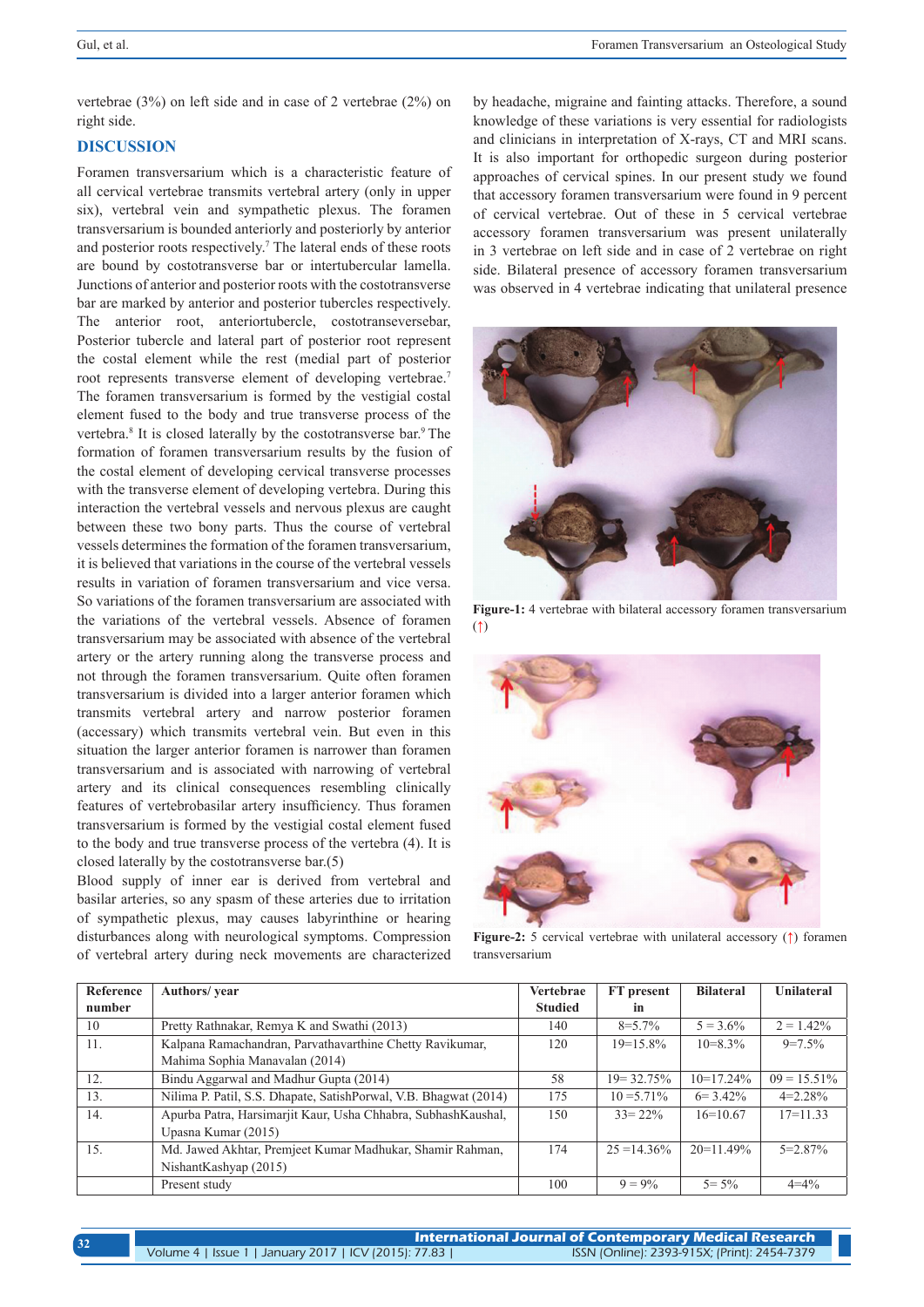vertebrae (3%) on left side and in case of 2 vertebrae (2%) on right side.

## **DISCUSSION**

Foramen transversarium which is a characteristic feature of all cervical vertebrae transmits vertebral artery (only in upper six), vertebral vein and sympathetic plexus. The foramen transversarium is bounded anteriorly and posteriorly by anterior and posterior roots respectively.<sup>7</sup> The lateral ends of these roots are bound by costotransverse bar or intertubercular lamella. Junctions of anterior and posterior roots with the costotransverse bar are marked by anterior and posterior tubercles respectively. The anterior root, anteriortubercle, costotranseversebar, Posterior tubercle and lateral part of posterior root represent the costal element while the rest (medial part of posterior root represents transverse element of developing vertebrae.<sup>7</sup> The foramen transversarium is formed by the vestigial costal element fused to the body and true transverse process of the vertebra.<sup>8</sup> It is closed laterally by the costotransverse bar.<sup>9</sup> The formation of foramen transversarium results by the fusion of the costal element of developing cervical transverse processes with the transverse element of developing vertebra. During this interaction the vertebral vessels and nervous plexus are caught between these two bony parts. Thus the course of vertebral vessels determines the formation of the foramen transversarium, it is believed that variations in the course of the vertebral vessels results in variation of foramen transversarium and vice versa. So variations of the foramen transversarium are associated with the variations of the vertebral vessels. Absence of foramen transversarium may be associated with absence of the vertebral artery or the artery running along the transverse process and not through the foramen transversarium. Quite often foramen transversarium is divided into a larger anterior foramen which transmits vertebral artery and narrow posterior foramen (accessary) which transmits vertebral vein. But even in this situation the larger anterior foramen is narrower than foramen transversarium and is associated with narrowing of vertebral artery and its clinical consequences resembling clinically features of vertebrobasilar artery insufficiency. Thus foramen transversarium is formed by the vestigial costal element fused to the body and true transverse process of the vertebra (4). It is closed laterally by the costotransverse bar.(5)

Blood supply of inner ear is derived from vertebral and basilar arteries, so any spasm of these arteries due to irritation of sympathetic plexus, may causes labyrinthine or hearing disturbances along with neurological symptoms. Compression of vertebral artery during neck movements are characterized by headache, migraine and fainting attacks. Therefore, a sound knowledge of these variations is very essential for radiologists and clinicians in interpretation of X-rays, CT and MRI scans. It is also important for orthopedic surgeon during posterior approaches of cervical spines. In our present study we found that accessory foramen transversarium were found in 9 percent of cervical vertebrae. Out of these in 5 cervical vertebrae accessory foramen transversarium was present unilaterally in 3 vertebrae on left side and in case of 2 vertebrae on right side. Bilateral presence of accessory foramen transversarium was observed in 4 vertebrae indicating that unilateral presence



**Figure-1:** 4 vertebrae with bilateral accessory foramen transversarium (↑)



**Figure-2:** 5 cervical vertebrae with unilateral accessory (↑) foramen transversarium

| Reference | Authors/year                                                     | <b>Vertebrae</b> | FT present     | <b>Bilateral</b> | <b>Unilateral</b> |
|-----------|------------------------------------------------------------------|------------------|----------------|------------------|-------------------|
| number    |                                                                  | <b>Studied</b>   | in             |                  |                   |
| 10        | Pretty Rathnakar, Remya K and Swathi (2013)                      | 140              | $8=5.7\%$      | $5 = 3.6\%$      | $2 = 1.42\%$      |
| 11.       | Kalpana Ramachandran, Parvathavarthine Chetty Ravikumar,         | 120              | $19=15.8\%$    | $10=8.3\%$       | $9=7.5\%$         |
|           | Mahima Sophia Manavalan (2014)                                   |                  |                |                  |                   |
| 12.       | Bindu Aggarwal and Madhur Gupta (2014)                           | 58               | $19 = 32.75\%$ | $10=17.24\%$     | $09 = 15.51\%$    |
| 13.       | Nilima P. Patil, S.S. Dhapate, SatishPorwal, V.B. Bhagwat (2014) | 175              | $10 = 5.71\%$  | $6=3.42\%$       | $4=2.28%$         |
| 14.       | Apurba Patra, Harsimarjit Kaur, Usha Chhabra, SubhashKaushal,    | 150              | $33 = 22\%$    | $16=10.67$       | $17 = 11.33$      |
|           | Upasna Kumar (2015)                                              |                  |                |                  |                   |
| 15.       | Md. Jawed Akhtar, Premjeet Kumar Madhukar, Shamir Rahman,        | 174              | $25 = 14.36\%$ | $20=11.49\%$     | $5=2.87\%$        |
|           | NishantKashyap (2015)                                            |                  |                |                  |                   |
|           | Present study                                                    | 100              | $9 = 9\%$      | $5 = 5\%$        | $4 = 4\%$         |